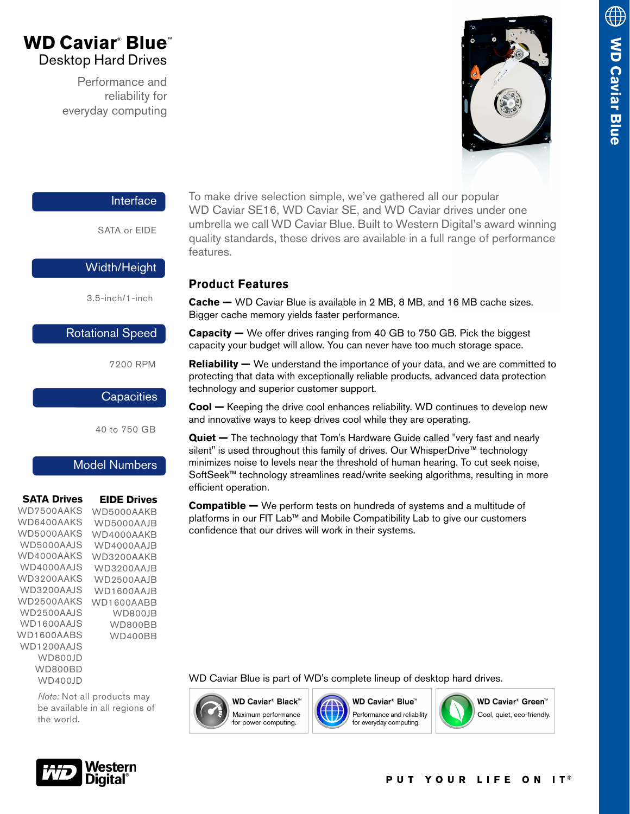# **WD Caviar® Blue®** Desktop Hard Drives

Performance and reliability for everyday computing



#### Interface

SATA or EIDE

### Width/Height

3.5-inch/1-inch

### Rotational Speed

7200 RPM

### **Capacities**

40 to 750 GB

### Model Numbers

| <b>SATA Drives</b> | <b>EIDE Drives</b> |
|--------------------|--------------------|
| WD7500AAKS         | WD5000AAKB         |
| WD6400AAKS         | WD5000AAJB         |
| WD5000AAKS         | WD4000AAKB         |
| WD5000AAIS         | WD4000AAJB         |
| WD4000AAKS         | WD3200AAKB         |
| WD4000AAIS         | WD3200AAJB         |
| WD3200AAKS         | WD2500AAJB         |
| WD3200AAIS         | WD1600AAJB         |
| WD2500AAKS         | WD1600AABB         |
| WD2500AAIS         | WD800JB            |
| WD1600AAIS         | WD800BB            |
| WD1600AARS         | WD400BB            |
| WD1200AAIS         |                    |
| WD800JD            |                    |
| WD800BD            |                    |
| WD400JD            |                    |

*Note:* Not all products may be available in all regions of the world.



To make drive selection simple, we've gathered all our popular WD Caviar SE16, WD Caviar SE, and WD Caviar drives under one umbrella we call WD Caviar Blue. Built to Western Digital's award winning quality standards, these drives are available in a full range of performance features.

## **Product Features**

**Cache —** WD Caviar Blue is available in 2 MB, 8 MB, and 16 MB cache sizes. Bigger cache memory yields faster performance.

**Capacity —** We offer drives ranging from 40 GB to 750 GB. Pick the biggest capacity your budget will allow. You can never have too much storage space.

**Reliability —** We understand the importance of your data, and we are committed to protecting that data with exceptionally reliable products, advanced data protection technology and superior customer support.

**Cool —** Keeping the drive cool enhances reliability. WD continues to develop new and innovative ways to keep drives cool while they are operating.

**Quiet —** The technology that Tom's Hardware Guide called "very fast and nearly silent" is used throughout this family of drives. Our WhisperDrive™ technology minimizes noise to levels near the threshold of human hearing. To cut seek noise, SoftSeek™ technology streamlines read/write seeking algorithms, resulting in more efficient operation.

**Compatible —** We perform tests on hundreds of systems and a multitude of platforms in our FIT Lab™ and Mobile Compatibility Lab to give our customers confidence that our drives will work in their systems.

WD Caviar Blue is part of WD's complete lineup of desktop hard drives.





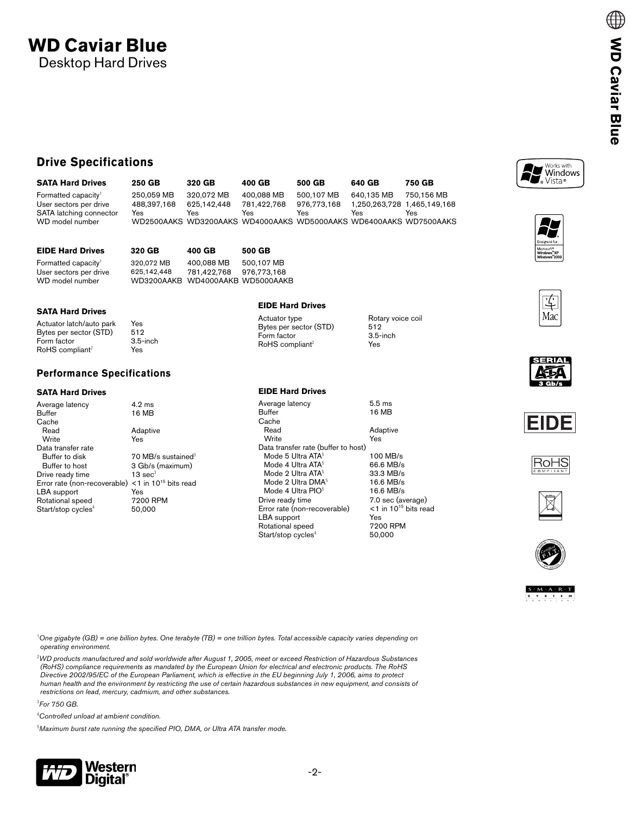# **WD Caviar Blue** Desktop Hard Drives

### **Drive Specifications**

| <b>SATA Hard Drives</b>         | 250 GB                                                            | 320 GB      | 400 GB      | 500 GB      | 640 GB                      | 750 GB     |
|---------------------------------|-------------------------------------------------------------------|-------------|-------------|-------------|-----------------------------|------------|
| Formatted capacity <sup>1</sup> | 250.059 MB                                                        | 320.072 MB  | 400.088 MB  | 500.107 MB  | 640.135 MB                  | 750.156 MB |
| User sectors per drive          | 488.397.168                                                       | 625.142.448 | 781.422.768 | 976.773.168 | 1.250.263.728 1.465.149.168 |            |
| SATA latching connector         | Yes                                                               | Yes         | Yes         | Yes         | Yes                         | Yes        |
| WD model number                 | WD2500AAKS WD3200AAKS WD4000AAKS WD5000AAKS WD6400AAKS WD7500AAKS |             |             |             |                             |            |

| <b>EIDE Hard Drives</b>                                                      | 320 GB                                                        | 400 GB                    | 500 GB                    |
|------------------------------------------------------------------------------|---------------------------------------------------------------|---------------------------|---------------------------|
| Formatted capacity <sup>1</sup><br>User sectors per drive<br>WD model number | 320.072 MB<br>625.142.448<br>WD3200AAKB WD4000AAKB WD5000AAKB | 400.088 MB<br>781.422.768 | 500.107 MB<br>976.773.168 |

#### **SATA Hard Drives**

| Rotary voice coil<br>Actuator type<br>Bytes per sector (STD)<br>512<br>$3.5$ -inch<br>RoHS compliant <sup>2</sup><br>Yes |  |
|--------------------------------------------------------------------------------------------------------------------------|--|
|                                                                                                                          |  |

#### **Performance Specifications**

#### **SATA Hard Drives**

| Average latency                | $4.9 \text{ ms}$                    |
|--------------------------------|-------------------------------------|
| Buffer                         | 16 MB                               |
| Cache                          |                                     |
| Read                           | Adaptive                            |
| Write                          | Yes                                 |
| Data transfer rate             |                                     |
| Buffer to disk                 | 70 MB/s sustained <sup>3</sup>      |
| Buffer to host                 | 3 Gb/s (maximum)                    |
| Drive ready time               | $13 \text{ sec}^3$                  |
| Error rate (non-recoverable)   | $<$ 1 in 10 <sup>15</sup> bits read |
| LBA support                    | Yes                                 |
| Rotational speed               | 7200 RPM                            |
| Start/stop cycles <sup>4</sup> | 50.000                              |
|                                |                                     |

**EIDE Hard Drives**

| <b>EIDE Hard Drives</b>             |                                     |
|-------------------------------------|-------------------------------------|
| Average latency                     | $5.5 \text{ ms}$                    |
| Buffer                              | 16 MB                               |
| Cache                               |                                     |
| Read                                | Adaptive                            |
| Write                               | Yes                                 |
| Data transfer rate (buffer to host) |                                     |
| Mode 5 Ultra ATA <sup>5</sup>       | 100 MB/s                            |
| Mode 4 Ultra ATA <sup>5</sup>       | 66.6 MB/s                           |
| Mode 2 Ultra ATA <sup>5</sup>       | 33.3 MB/s                           |
| Mode 2 Ultra DMA <sup>5</sup>       | $16.6$ MB/s                         |
| Mode 4 Ultra $PIO5$                 | 16.6 MB/s                           |
| Drive ready time                    | 7.0 sec (average)                   |
| Error rate (non-recoverable)        | $<$ 1 in 10 <sup>15</sup> bits read |
| LBA support                         | Yes                                 |
| Rotational speed                    | 7200 RPM                            |
| Start/stop cycles <sup>4</sup>      | 50,000                              |
|                                     |                                     |

Works with<br>Windows<br>
Wista®

















1 *One gigabyte (GB) = one billion bytes. One terabyte (TB) = one trillion bytes. Total accessible capacity varies depending on operating environment.*

2 *WD products manufactured and sold worldwide after August 1, 2005, meet or exceed Restriction of Hazardous Substances (RoHS) compliance requirements as mandated by the European Union for electrical and electronic products. The RoHS Directive 2002/95/EC of the European Parliament, which is effective in the EU beginning July 1, 2006, aims to protect human health and the environment by restricting the use of certain hazardous substances in new equipment, and consists of restrictions on lead, mercury, cadmium, and other substances.*

<span id="page-1-0"></span>3 *For 750 GB.*

4 *Controlled unload at ambient condition.*

5 *Maximum burst rate running the specified PIO, DMA, or Ultra ATA transfer mode.*

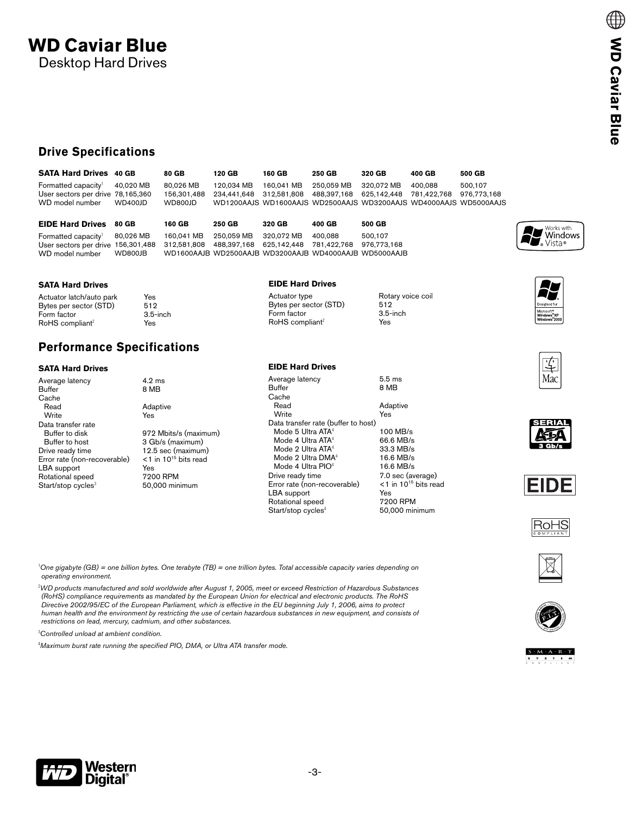### **Drive Specifications**

| <b>SATA Hard Drives</b> 40 GB             |         | 80 GB     | 120 GB                                                                              | 160 GB | 250 GB | 320 GB | 400 GB  | 500 GB  |
|-------------------------------------------|---------|-----------|-------------------------------------------------------------------------------------|--------|--------|--------|---------|---------|
| Formatted capacity <sup>1</sup> 40,020 MB |         | 80.026 MB |                                                                                     |        |        |        | 400.088 | 500.107 |
| User sectors per drive 78,165,360         |         |           | 156.301.488 234.441.648 312.581.808 488.397.168 625.142.448 781.422.768 976.773.168 |        |        |        |         |         |
| WD model number                           | WD400JD | WD800JD   | WD1200AAJS WD1600AAJS WD2500AAJS WD3200AAJS WD4000AAJS WD5000AAJS                   |        |        |        |         |         |
|                                           |         |           |                                                                                     |        |        |        |         |         |

| <b>EIDE Hard Drives 80 GB</b>                                                                  |         | 160 GB     | 250 GB                | 320 GB                                                 | 400 GB  | 500 GB  |
|------------------------------------------------------------------------------------------------|---------|------------|-----------------------|--------------------------------------------------------|---------|---------|
| Formatted capacity <sup>1</sup> 80,026 MB                                                      |         | 160.041 MB | 250.059 MB 320.072 MB |                                                        | 400.088 | 500.107 |
| User sectors per drive 156,301,488 312,581,808 488,397,168 625,142,448 781,422,768 976,773,168 |         |            |                       |                                                        |         |         |
| WD model number                                                                                | WD800JB |            |                       | WD1600AAJB WD2500AAJB WD3200AAJB WD4000AAJB WD5000AAJB |         |         |

1 *One gigabyte (GB) = one billion bytes. One terabyte (TB) = one trillion bytes. Total accessible capacity varies depending on* 

2 *WD products manufactured and sold worldwide after August 1, 2005, meet or exceed Restriction of Hazardous Substances (RoHS) compliance requirements as mandated by the European Union for electrical and electronic products. The RoHS Directive 2002/95/EC of the European Parliament, which is effective in the EU beginning July 1, 2006, aims to protect human health and the environment by restricting the use of certain hazardous substances in new equipment, and consists of* 

#### **SATA Hard Drives**

Actuator latch/auto park Yes<br>Bytes per sector (STD) 512 Bytes per sector (STD) 512<br>Form factor 515-inch Form factor 3.5-<br>RoHS compliant<sup>2</sup> Yes  $RoHS$  compliant<sup>2</sup>

# **Performance Specifications**

#### **SATA Hard Drives**

*operating environment.*

| Average latency                  | $4.2 \text{ ms}$                    |
|----------------------------------|-------------------------------------|
| Buffer                           | 8 MB                                |
| Cache                            |                                     |
| Read                             | Adaptive                            |
| Write                            | Yes                                 |
| Data transfer rate               |                                     |
| Buffer to disk                   | 972 Mbits/s (maxim                  |
| Buffer to host                   | 3 Gb/s (maximum)                    |
| Drive ready time                 | 12.5 sec (maximum)                  |
| Error rate (non-recoverable)     | $<$ 1 in 10 <sup>15</sup> bits read |
| LBA support                      | Yes                                 |
| Rotational speed                 | 7200 RPM                            |
| $Start/stop$ cycles <sup>3</sup> | 50,000 minimum                      |
|                                  |                                     |

*restrictions on lead, mercury, cadmium, and other substances.*

4 *Maximum burst rate running the specified PIO, DMA, or Ultra ATA transfer mode.*

maximum) num) ximum<mark>)</mark><br>:s read

|  | Bytes per sector (STI |  |
|--|-----------------------|--|
|  |                       |  |

**EIDE Hard Drives**

Mode 4 Ultra  $PIO<sup>4</sup>$ <br>Drive ready time

Start/stop cycles<sup>4</sup>

**Buffer** Cache

Write

**EIDE Hard Drives**

Form factor  $3.5-$ <br>RoHS compliant<sup>2</sup>  $\gamma$ es  $RoHS$  compliant<sup>2</sup>

Data transfer rate (buffer to host)

Actuator type Rotary voice coil<br>Bytes per sector (STD) 512  $512$ <br>3.5-inch

Average latency 5.5 ms<br>Buffer 8 MB Read Adaptive<br>Write Yes Mode 5 Ultra ATA<sup>4</sup> 100 MB/s<br>Mode 4 Ultra ATA<sup>4</sup> 66.6 MB/s Mode 4 Ultra  $ATA^4$  66.6 MB/s<br>Mode 2 Ultra  $ATA^4$  33.3 MB/s Mode 2 Ultra ATA<sup>4</sup> 33.3 MB/s<br>Mode 2 Ultra DMA<sup>4</sup> 16.6 MB/s Mode 2 Ultra DMA $^4$  16.6 MB/s<br>Mode 4 Ultra PIO $^4$  16.6 MB/s 7.0 sec (average)<br><1 in 10<sup>15</sup> bits read Error rate (non-recoverable) <1 i<br>LBA support Yes LBA support<br>
Rotational speed
Y200 RPM Rotational speed 7200 RPM<br>Start/stop cycles<sup>4</sup> 50,000 minimum

אר⊬?





 $S \cdot M \cdot A \cdot R \cdot T$ 

**WD Caviar Blue**

**WD Caviar Blue** 

 $\oplus$ 



Works with  $\sum_{\Phi}$  Vista









3 *Controlled unload at ambient condition.*